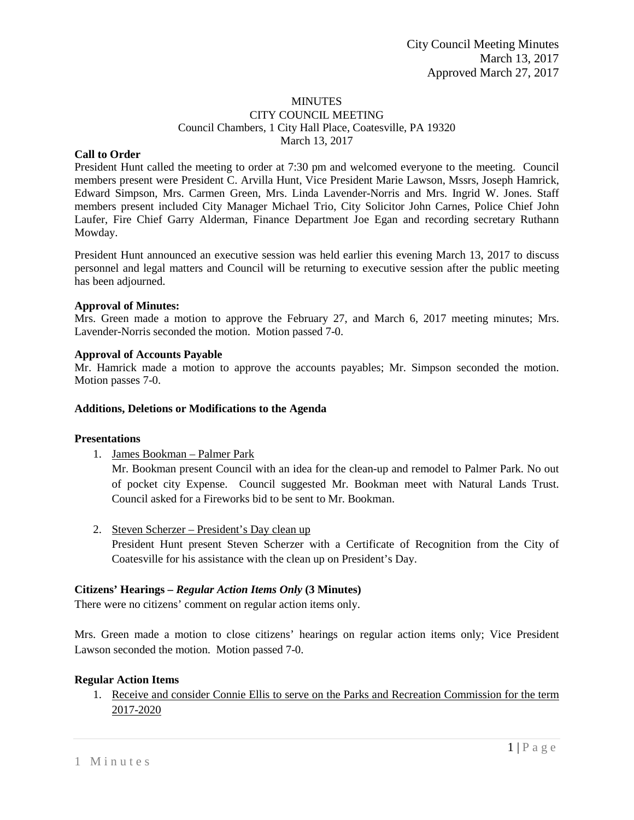## MINUTES

## CITY COUNCIL MEETING Council Chambers, 1 City Hall Place, Coatesville, PA 19320 March 13, 2017

## **Call to Order**

President Hunt called the meeting to order at 7:30 pm and welcomed everyone to the meeting. Council members present were President C. Arvilla Hunt, Vice President Marie Lawson, Mssrs, Joseph Hamrick, Edward Simpson, Mrs. Carmen Green, Mrs. Linda Lavender-Norris and Mrs. Ingrid W. Jones. Staff members present included City Manager Michael Trio, City Solicitor John Carnes, Police Chief John Laufer, Fire Chief Garry Alderman, Finance Department Joe Egan and recording secretary Ruthann Mowday.

President Hunt announced an executive session was held earlier this evening March 13, 2017 to discuss personnel and legal matters and Council will be returning to executive session after the public meeting has been adjourned.

## **Approval of Minutes:**

Mrs. Green made a motion to approve the February 27, and March 6, 2017 meeting minutes; Mrs. Lavender-Norris seconded the motion. Motion passed 7-0.

## **Approval of Accounts Payable**

Mr. Hamrick made a motion to approve the accounts payables; Mr. Simpson seconded the motion. Motion passes 7-0.

## **Additions, Deletions or Modifications to the Agenda**

#### **Presentations**

1. James Bookman – Palmer Park

Mr. Bookman present Council with an idea for the clean-up and remodel to Palmer Park. No out of pocket city Expense. Council suggested Mr. Bookman meet with Natural Lands Trust. Council asked for a Fireworks bid to be sent to Mr. Bookman.

2. Steven Scherzer – President's Day clean up

President Hunt present Steven Scherzer with a Certificate of Recognition from the City of Coatesville for his assistance with the clean up on President's Day.

## **Citizens' Hearings –** *Regular Action Items Only* **(3 Minutes)**

There were no citizens' comment on regular action items only.

Mrs. Green made a motion to close citizens' hearings on regular action items only; Vice President Lawson seconded the motion. Motion passed 7-0.

## **Regular Action Items**

1. Receive and consider Connie Ellis to serve on the Parks and Recreation Commission for the term 2017-2020